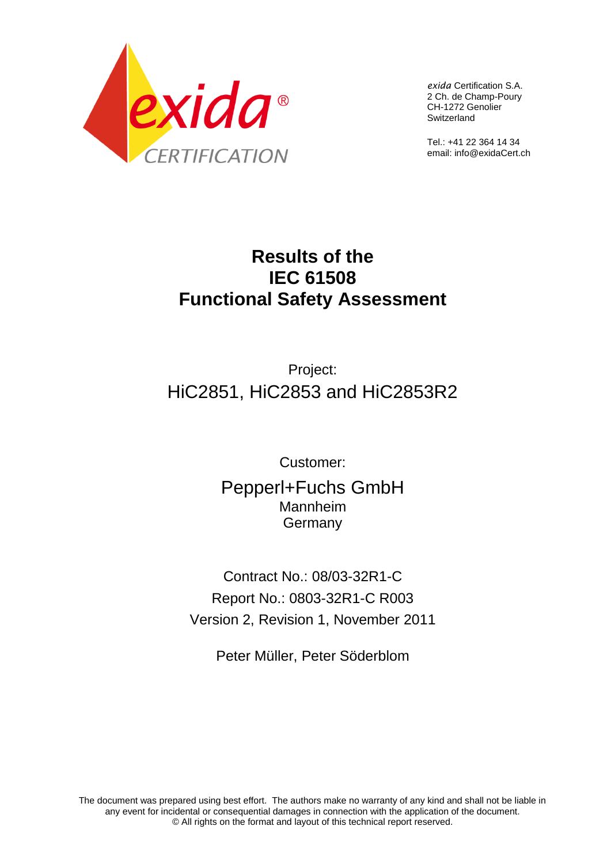

*exida* Certification S.A. 2 Ch. de Champ-Poury CH-1272 Genolier Switzerland

Tel.: +41 22 364 14 34 email: info@exidaCert.ch

# **Results of the IEC 61508 Functional Safety Assessment**

# Project: HiC2851, HiC2853 and HiC2853R2

Customer:

Pepperl+Fuchs GmbH Mannheim **Germany** 

Contract No.: 08/03-32R1-C Report No.: 0803-32R1-C R003 Version 2, Revision 1, November 2011

Peter Müller, Peter Söderblom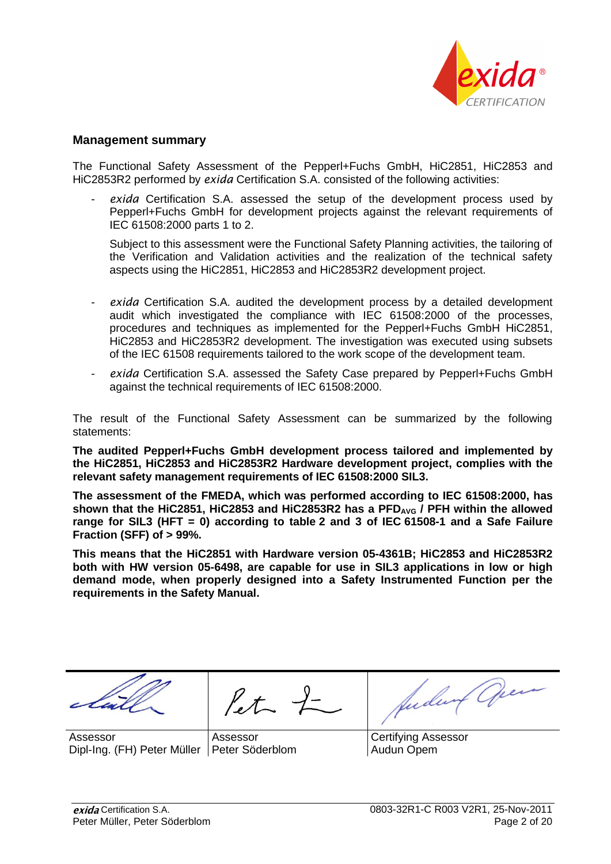

## **Management summary**

The Functional Safety Assessment of the Pepperl+Fuchs GmbH, HiC2851, HiC2853 and HiC2853R2 performed by *exida* Certification S.A. consisted of the following activities:

exida Certification S.A. assessed the setup of the development process used by Pepperl+Fuchs GmbH for development projects against the relevant requirements of IEC 61508:2000 parts 1 to 2.

Subject to this assessment were the Functional Safety Planning activities, the tailoring of the Verification and Validation activities and the realization of the technical safety aspects using the HiC2851, HiC2853 and HiC2853R2 development project.

- *exida* Certification S.A. audited the development process by a detailed development audit which investigated the compliance with IEC 61508:2000 of the processes, procedures and techniques as implemented for the Pepperl+Fuchs GmbH HiC2851, HiC2853 and HiC2853R2 development. The investigation was executed using subsets of the IEC 61508 requirements tailored to the work scope of the development team.
- *exida* Certification S.A. assessed the Safety Case prepared by Pepperl+Fuchs GmbH against the technical requirements of IEC 61508:2000.

The result of the Functional Safety Assessment can be summarized by the following statements:

**The audited Pepperl+Fuchs GmbH development process tailored and implemented by the HiC2851, HiC2853 and HiC2853R2 Hardware development project, complies with the relevant safety management requirements of IEC 61508:2000 SIL3.**

**The assessment of the FMEDA, which was performed according to IEC 61508:2000, has shown that the HiC2851, HiC2853 and HiC2853R2 has a PFDAVG / PFH within the allowed range for SIL3 (HFT = 0) according to table 2 and 3 of IEC 61508-1 and a Safe Failure Fraction (SFF) of > 99%.**

**This means that the HiC2851 with Hardware version 05-4361B; HiC2853 and HiC2853R2 both with HW version 05-6498, are capable for use in SIL3 applications in low or high demand mode, when properly designed into a Safety Instrumented Function per the requirements in the Safety Manual.**

Assessor Dipl-Ing. (FH) Peter Müller Peter Söderblom

 $\ell t$   $\frac{1}{\sqrt{2}}$ Assessor

Judwith Open

Certifying Assessor Audun Opem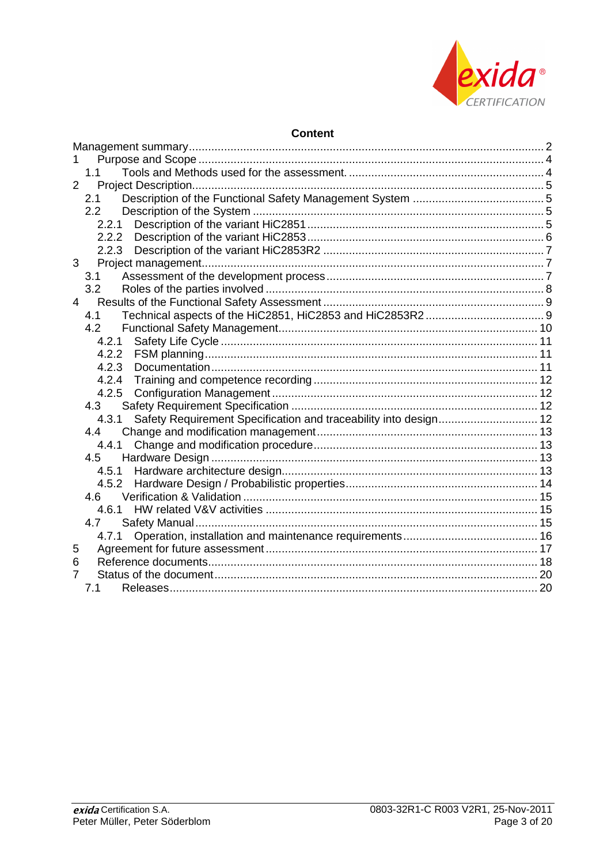

# **Content**

|                | 1.1                                                                       |  |
|----------------|---------------------------------------------------------------------------|--|
| $\overline{2}$ |                                                                           |  |
|                | 2.1                                                                       |  |
|                | 2.2                                                                       |  |
|                |                                                                           |  |
|                |                                                                           |  |
|                |                                                                           |  |
| 3              |                                                                           |  |
|                | 3.1                                                                       |  |
|                | 3.2                                                                       |  |
|                | $4 \quad$                                                                 |  |
|                | 4.1                                                                       |  |
|                | 4.2                                                                       |  |
|                | 4.2.1                                                                     |  |
|                | 4.2.2                                                                     |  |
|                | 4.2.3                                                                     |  |
|                | 4.2.4                                                                     |  |
|                | 4.2.5                                                                     |  |
|                | 4.3                                                                       |  |
|                | Safety Requirement Specification and traceability into design 12<br>4.3.1 |  |
|                | 44                                                                        |  |
|                | 4.4.1                                                                     |  |
|                | 4.5                                                                       |  |
|                | 4.5.1                                                                     |  |
|                | 4.5.2                                                                     |  |
|                | 4.6                                                                       |  |
|                | 4.6.1                                                                     |  |
|                | 4.7                                                                       |  |
|                | 4.7.1                                                                     |  |
| 5              |                                                                           |  |
| 6              |                                                                           |  |
| 7              |                                                                           |  |
|                | 7.1                                                                       |  |
|                |                                                                           |  |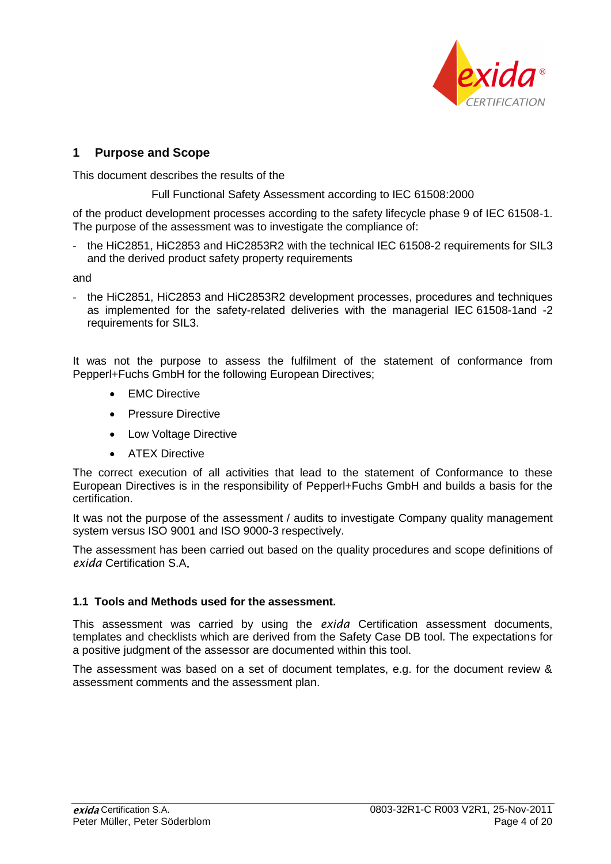

# **1 Purpose and Scope**

This document describes the results of the

Full Functional Safety Assessment according to IEC 61508:2000

of the product development processes according to the safety lifecycle phase 9 of IEC 61508-1. The purpose of the assessment was to investigate the compliance of:

- the HiC2851, HiC2853 and HiC2853R2 with the technical IEC 61508-2 requirements for SIL3 and the derived product safety property requirements

and

- the HiC2851, HiC2853 and HiC2853R2 development processes, procedures and techniques as implemented for the safety-related deliveries with the managerial IEC 61508-1and -2 requirements for SIL3.

It was not the purpose to assess the fulfilment of the statement of conformance from Pepperl+Fuchs GmbH for the following European Directives;

- EMC Directive
- Pressure Directive
- Low Voltage Directive
- ATFX Directive

The correct execution of all activities that lead to the statement of Conformance to these European Directives is in the responsibility of Pepperl+Fuchs GmbH and builds a basis for the certification.

It was not the purpose of the assessment / audits to investigate Company quality management system versus ISO 9001 and ISO 9000-3 respectively.

The assessment has been carried out based on the quality procedures and scope definitions of *exida* Certification S.A

# **1.1 Tools and Methods used for the assessment.**

This assessment was carried by using the *exida* Certification assessment documents, templates and checklists which are derived from the Safety Case DB tool. The expectations for a positive judgment of the assessor are documented within this tool.

The assessment was based on a set of document templates, e.g. for the document review & assessment comments and the assessment plan.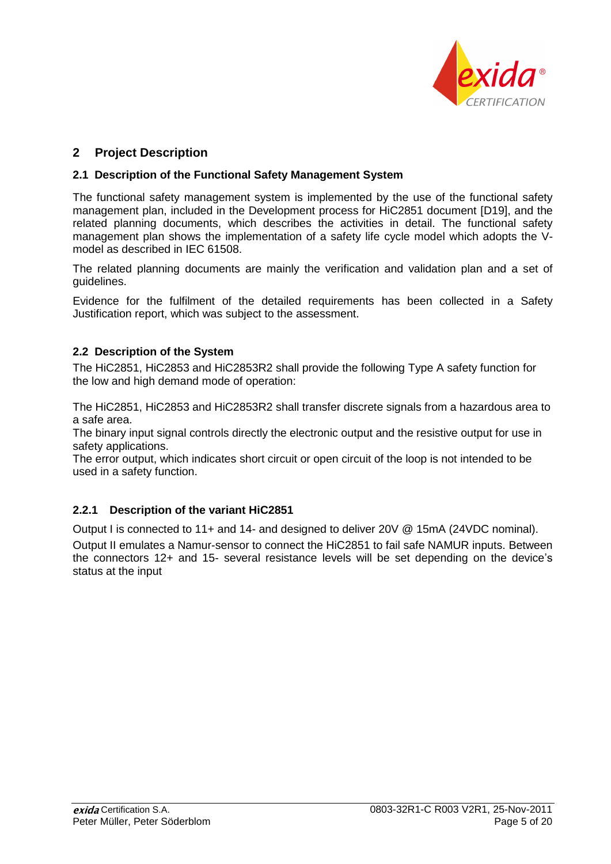

# **2 Project Description**

## **2.1 Description of the Functional Safety Management System**

The functional safety management system is implemented by the use of the functional safety management plan, included in the Development process for HiC2851 document [D19], and the related planning documents, which describes the activities in detail. The functional safety management plan shows the implementation of a safety life cycle model which adopts the Vmodel as described in IEC 61508.

The related planning documents are mainly the verification and validation plan and a set of guidelines.

Evidence for the fulfilment of the detailed requirements has been collected in a Safety Justification report, which was subject to the assessment.

# **2.2 Description of the System**

The HiC2851, HiC2853 and HiC2853R2 shall provide the following Type A safety function for the low and high demand mode of operation:

The HiC2851, HiC2853 and HiC2853R2 shall transfer discrete signals from a hazardous area to a safe area.

The binary input signal controls directly the electronic output and the resistive output for use in safety applications.

The error output, which indicates short circuit or open circuit of the loop is not intended to be used in a safety function.

# **2.2.1 Description of the variant HiC2851**

Output I is connected to 11+ and 14- and designed to deliver 20V @ 15mA (24VDC nominal). Output II emulates a Namur-sensor to connect the HiC2851 to fail safe NAMUR inputs. Between the connectors 12+ and 15- several resistance levels will be set depending on the device's status at the input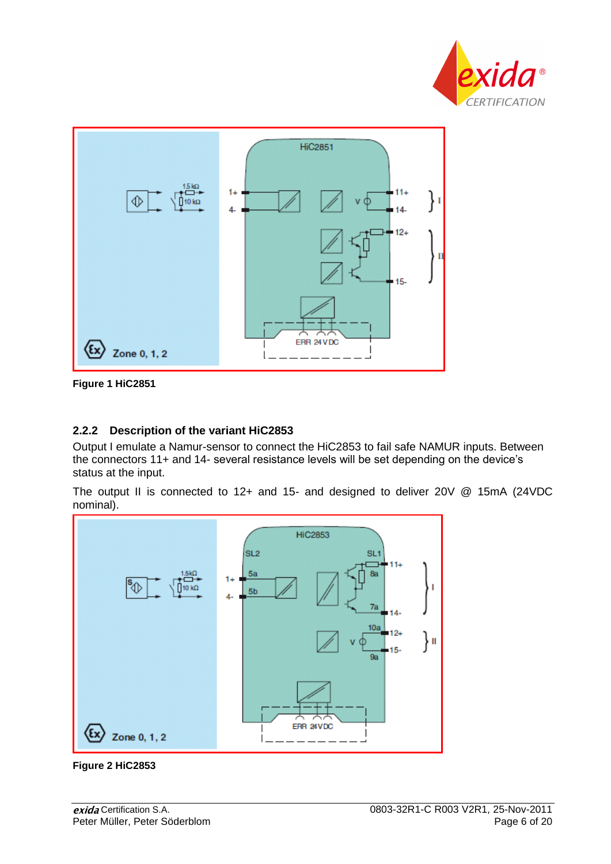



**Figure 1 HiC2851**

# **2.2.2 Description of the variant HiC2853**

Output I emulate a Namur-sensor to connect the HiC2853 to fail safe NAMUR inputs. Between the connectors 11+ and 14- several resistance levels will be set depending on the device's status at the input.

The output II is connected to 12+ and 15- and designed to deliver 20V @ 15mA (24VDC nominal).



**Figure 2 HiC2853**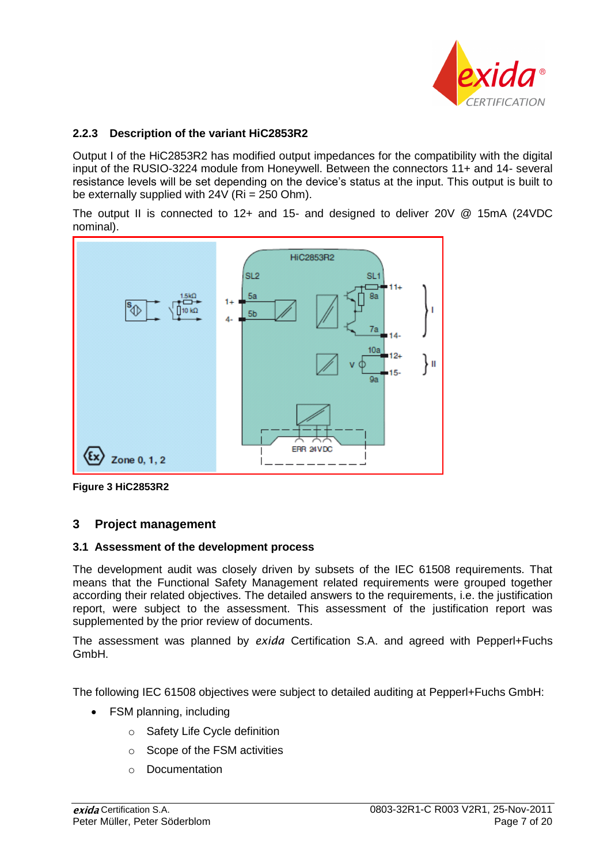

## **2.2.3 Description of the variant HiC2853R2**

Output I of the HiC2853R2 has modified output impedances for the compatibility with the digital input of the RUSIO-3224 module from Honeywell. Between the connectors 11+ and 14- several resistance levels will be set depending on the device's status at the input. This output is built to be externally supplied with  $24V$  (Ri = 250 Ohm).

The output II is connected to 12+ and 15- and designed to deliver 20V @ 15mA (24VDC nominal).



**Figure 3 HiC2853R2**

# **3 Project management**

## **3.1 Assessment of the development process**

The development audit was closely driven by subsets of the IEC 61508 requirements. That means that the Functional Safety Management related requirements were grouped together according their related objectives. The detailed answers to the requirements, i.e. the justification report, were subject to the assessment. This assessment of the justification report was supplemented by the prior review of documents.

The assessment was planned by *exida* Certification S.A. and agreed with Pepperl+Fuchs GmbH.

The following IEC 61508 objectives were subject to detailed auditing at Pepperl+Fuchs GmbH:

- FSM planning, including
	- o Safety Life Cycle definition
	- o Scope of the FSM activities
	- o Documentation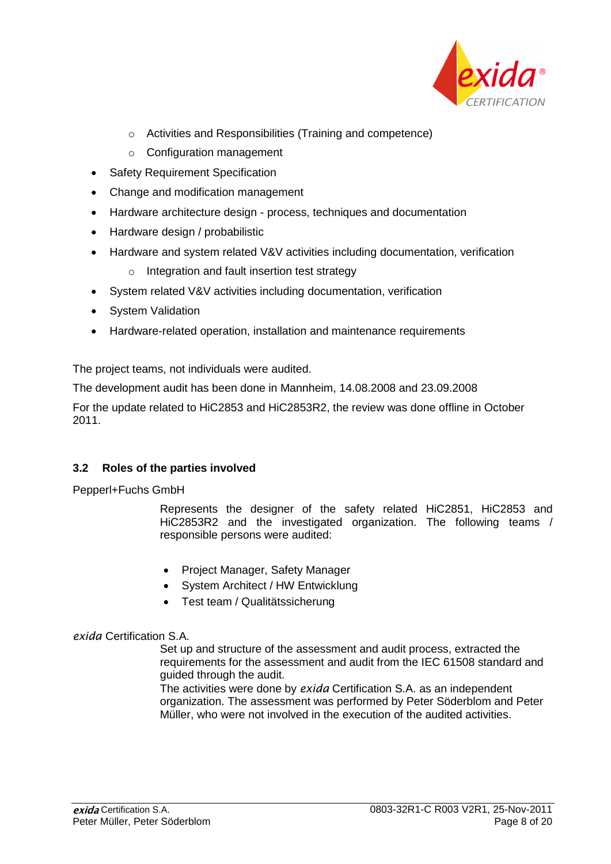

- o Activities and Responsibilities (Training and competence)
- o Configuration management
- Safety Requirement Specification
- Change and modification management
- Hardware architecture design process, techniques and documentation
- Hardware design / probabilistic
- Hardware and system related V&V activities including documentation, verification
	- o Integration and fault insertion test strategy
- System related V&V activities including documentation, verification
- System Validation
- Hardware-related operation, installation and maintenance requirements

The project teams, not individuals were audited.

The development audit has been done in Mannheim, 14.08.2008 and 23.09.2008

For the update related to HiC2853 and HiC2853R2, the review was done offline in October 2011.

# **3.2 Roles of the parties involved**

Pepperl+Fuchs GmbH

Represents the designer of the safety related HiC2851, HiC2853 and HiC2853R2 and the investigated organization. The following teams / responsible persons were audited:

- Project Manager, Safety Manager
- System Architect / HW Entwicklung
- Test team / Qualitätssicherung

# *exida* Certification S.A.

Set up and structure of the assessment and audit process, extracted the requirements for the assessment and audit from the IEC 61508 standard and guided through the audit.

The activities were done by *exida* Certification S.A. as an independent organization. The assessment was performed by Peter Söderblom and Peter Müller, who were not involved in the execution of the audited activities.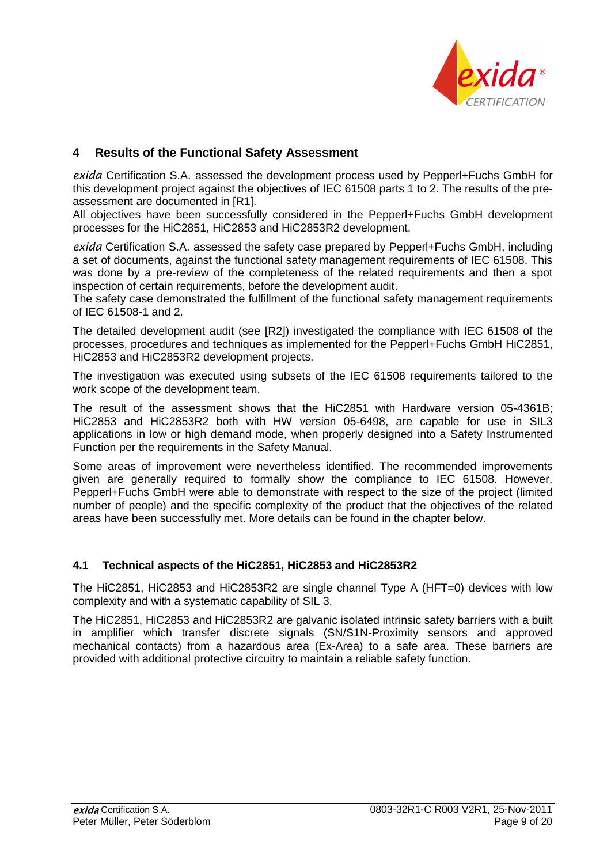

# **4 Results of the Functional Safety Assessment**

*exida* Certification S.A. assessed the development process used by Pepperl+Fuchs GmbH for this development project against the objectives of IEC 61508 parts 1 to 2. The results of the preassessment are documented in [R1].

All objectives have been successfully considered in the Pepperl+Fuchs GmbH development processes for the HiC2851, HiC2853 and HiC2853R2 development.

*exida* Certification S.A. assessed the safety case prepared by Pepperl+Fuchs GmbH, including a set of documents, against the functional safety management requirements of IEC 61508. This was done by a pre-review of the completeness of the related requirements and then a spot inspection of certain requirements, before the development audit.

The safety case demonstrated the fulfillment of the functional safety management requirements of IEC 61508-1 and 2.

The detailed development audit (see [R2]) investigated the compliance with IEC 61508 of the processes, procedures and techniques as implemented for the Pepperl+Fuchs GmbH HiC2851, HiC2853 and HiC2853R2 development projects.

The investigation was executed using subsets of the IEC 61508 requirements tailored to the work scope of the development team.

The result of the assessment shows that the HiC2851 with Hardware version 05-4361B; HiC2853 and HiC2853R2 both with HW version 05-6498, are capable for use in SIL3 applications in low or high demand mode, when properly designed into a Safety Instrumented Function per the requirements in the Safety Manual.

Some areas of improvement were nevertheless identified. The recommended improvements given are generally required to formally show the compliance to IEC 61508. However, Pepperl+Fuchs GmbH were able to demonstrate with respect to the size of the project (limited number of people) and the specific complexity of the product that the objectives of the related areas have been successfully met. More details can be found in the chapter below.

## **4.1 Technical aspects of the HiC2851, HiC2853 and HiC2853R2**

The HiC2851, HiC2853 and HiC2853R2 are single channel Type A (HFT=0) devices with low complexity and with a systematic capability of SIL 3.

The HiC2851, HiC2853 and HiC2853R2 are galvanic isolated intrinsic safety barriers with a built in amplifier which transfer discrete signals (SN/S1N-Proximity sensors and approved mechanical contacts) from a hazardous area (Ex-Area) to a safe area. These barriers are provided with additional protective circuitry to maintain a reliable safety function.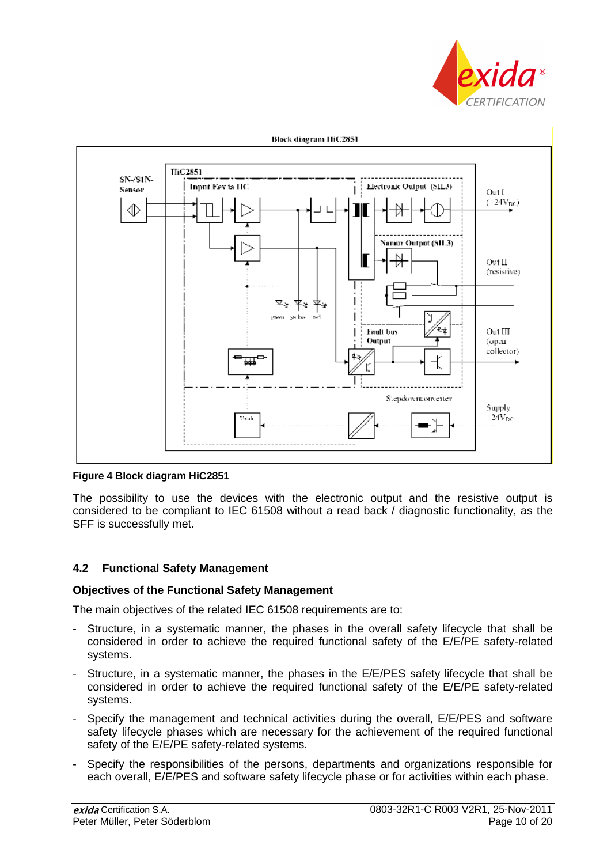



**Block diagram HiC2851** 

#### **Figure 4 Block diagram HiC2851**

The possibility to use the devices with the electronic output and the resistive output is considered to be compliant to IEC 61508 without a read back / diagnostic functionality, as the SFF is successfully met.

#### **4.2 Functional Safety Management**

#### **Objectives of the Functional Safety Management**

The main objectives of the related IEC 61508 requirements are to:

- Structure, in a systematic manner, the phases in the overall safety lifecycle that shall be considered in order to achieve the required functional safety of the E/E/PE safety-related systems.
- Structure, in a systematic manner, the phases in the E/E/PES safety lifecycle that shall be considered in order to achieve the required functional safety of the E/E/PE safety-related systems.
- Specify the management and technical activities during the overall, E/E/PES and software safety lifecycle phases which are necessary for the achievement of the required functional safety of the E/E/PE safety-related systems.
- Specify the responsibilities of the persons, departments and organizations responsible for each overall, E/E/PES and software safety lifecycle phase or for activities within each phase.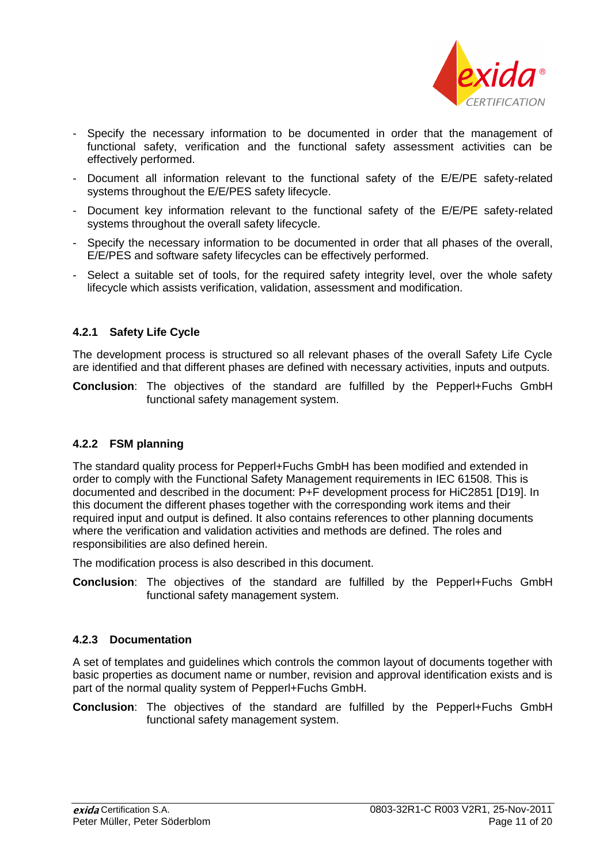

- Specify the necessary information to be documented in order that the management of functional safety, verification and the functional safety assessment activities can be effectively performed.
- Document all information relevant to the functional safety of the E/E/PE safety-related systems throughout the E/E/PES safety lifecycle.
- Document key information relevant to the functional safety of the E/E/PE safety-related systems throughout the overall safety lifecycle.
- Specify the necessary information to be documented in order that all phases of the overall, E/E/PES and software safety lifecycles can be effectively performed.
- Select a suitable set of tools, for the required safety integrity level, over the whole safety lifecycle which assists verification, validation, assessment and modification.

# **4.2.1 Safety Life Cycle**

The development process is structured so all relevant phases of the overall Safety Life Cycle are identified and that different phases are defined with necessary activities, inputs and outputs.

**Conclusion**: The objectives of the standard are fulfilled by the Pepperl+Fuchs GmbH functional safety management system.

## **4.2.2 FSM planning**

The standard quality process for Pepperl+Fuchs GmbH has been modified and extended in order to comply with the Functional Safety Management requirements in IEC 61508. This is documented and described in the document: P+F development process for HiC2851 [D19]. In this document the different phases together with the corresponding work items and their required input and output is defined. It also contains references to other planning documents where the verification and validation activities and methods are defined. The roles and responsibilities are also defined herein.

The modification process is also described in this document.

**Conclusion**: The objectives of the standard are fulfilled by the Pepperl+Fuchs GmbH functional safety management system.

## **4.2.3 Documentation**

A set of templates and guidelines which controls the common layout of documents together with basic properties as document name or number, revision and approval identification exists and is part of the normal quality system of Pepperl+Fuchs GmbH.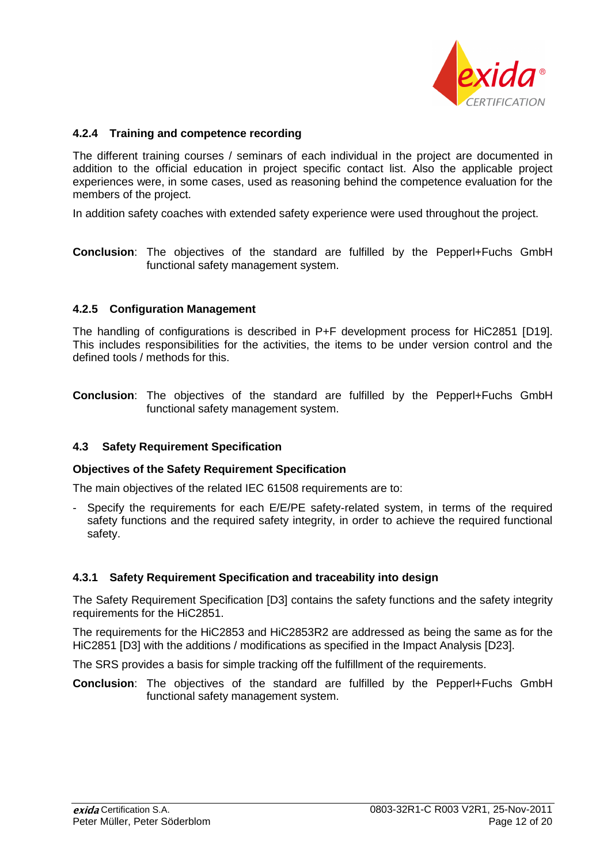

## **4.2.4 Training and competence recording**

The different training courses / seminars of each individual in the project are documented in addition to the official education in project specific contact list. Also the applicable project experiences were, in some cases, used as reasoning behind the competence evaluation for the members of the project.

In addition safety coaches with extended safety experience were used throughout the project.

**Conclusion**: The objectives of the standard are fulfilled by the Pepperl+Fuchs GmbH functional safety management system.

#### **4.2.5 Configuration Management**

The handling of configurations is described in P+F development process for HiC2851 [D19]. This includes responsibilities for the activities, the items to be under version control and the defined tools / methods for this.

**Conclusion**: The objectives of the standard are fulfilled by the Pepperl+Fuchs GmbH functional safety management system.

#### **4.3 Safety Requirement Specification**

#### **Objectives of the Safety Requirement Specification**

The main objectives of the related IEC 61508 requirements are to:

Specify the requirements for each E/E/PE safety-related system, in terms of the required safety functions and the required safety integrity, in order to achieve the required functional safety.

#### **4.3.1 Safety Requirement Specification and traceability into design**

The Safety Requirement Specification [D3] contains the safety functions and the safety integrity requirements for the HiC2851.

The requirements for the HiC2853 and HiC2853R2 are addressed as being the same as for the HiC2851 [D3] with the additions / modifications as specified in the Impact Analysis [D23].

The SRS provides a basis for simple tracking off the fulfillment of the requirements.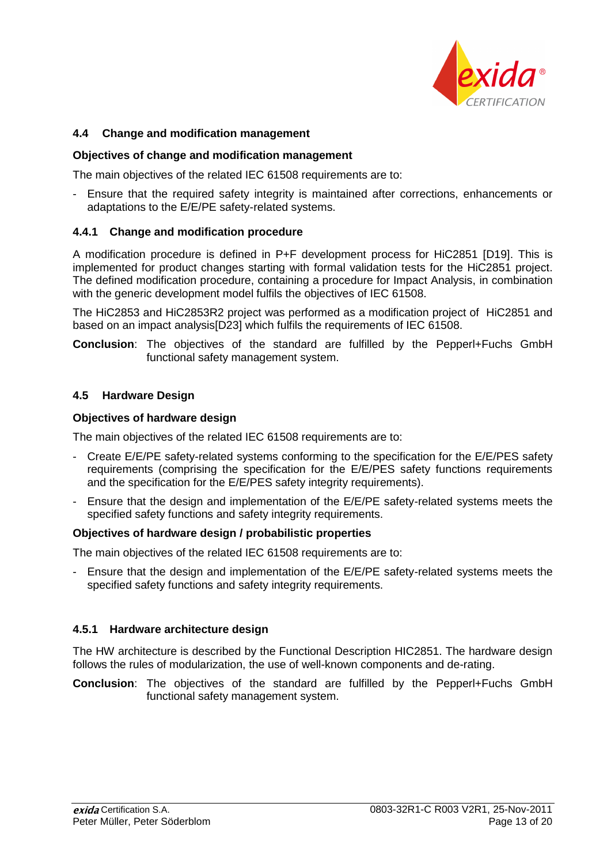

## **4.4 Change and modification management**

#### **Objectives of change and modification management**

The main objectives of the related IEC 61508 requirements are to:

- Ensure that the required safety integrity is maintained after corrections, enhancements or adaptations to the E/E/PE safety-related systems.

## **4.4.1 Change and modification procedure**

A modification procedure is defined in P+F development process for HiC2851 [D19]. This is implemented for product changes starting with formal validation tests for the HiC2851 project. The defined modification procedure, containing a procedure for Impact Analysis, in combination with the generic development model fulfils the objectives of IEC 61508.

The HiC2853 and HiC2853R2 project was performed as a modification project of HiC2851 and based on an impact analysis[D23] which fulfils the requirements of IEC 61508.

**Conclusion**: The objectives of the standard are fulfilled by the Pepperl+Fuchs GmbH functional safety management system.

#### **4.5 Hardware Design**

## **Objectives of hardware design**

The main objectives of the related IEC 61508 requirements are to:

- Create E/E/PE safety-related systems conforming to the specification for the E/E/PES safety requirements (comprising the specification for the E/E/PES safety functions requirements and the specification for the E/E/PES safety integrity requirements).
- Ensure that the design and implementation of the E/E/PE safety-related systems meets the specified safety functions and safety integrity requirements.

## **Objectives of hardware design / probabilistic properties**

The main objectives of the related IEC 61508 requirements are to:

- Ensure that the design and implementation of the E/E/PE safety-related systems meets the specified safety functions and safety integrity requirements.

## **4.5.1 Hardware architecture design**

The HW architecture is described by the Functional Description HIC2851. The hardware design follows the rules of modularization, the use of well-known components and de-rating.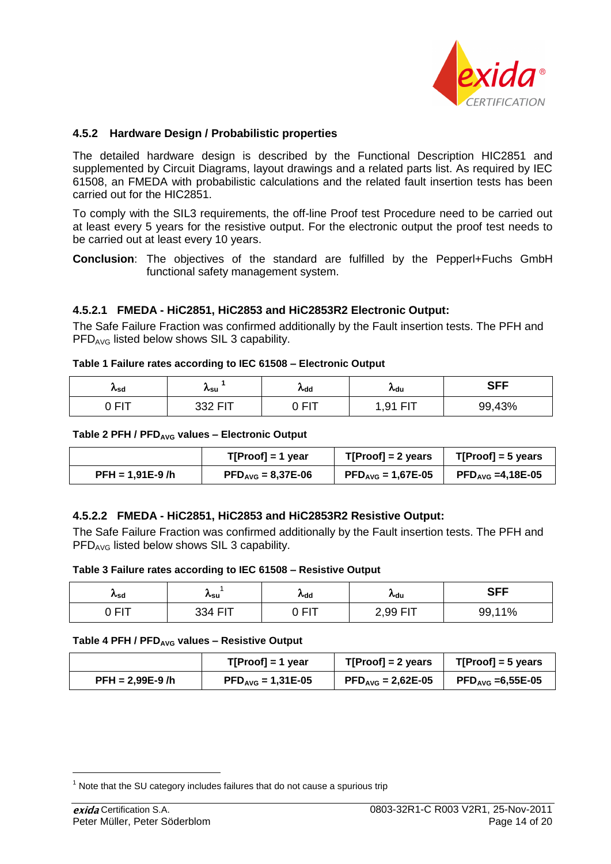

#### **4.5.2 Hardware Design / Probabilistic properties**

The detailed hardware design is described by the Functional Description HIC2851 and supplemented by Circuit Diagrams, layout drawings and a related parts list. As required by IEC 61508, an FMEDA with probabilistic calculations and the related fault insertion tests has been carried out for the HIC2851.

To comply with the SIL3 requirements, the off-line Proof test Procedure need to be carried out at least every 5 years for the resistive output. For the electronic output the proof test needs to be carried out at least every 10 years.

**Conclusion**: The objectives of the standard are fulfilled by the Pepperl+Fuchs GmbH functional safety management system.

## **4.5.2.1 FMEDA - HiC2851, HiC2853 and HiC2853R2 Electronic Output:**

The Safe Failure Fraction was confirmed additionally by the Fault insertion tests. The PFH and  $PFD<sub>AVG</sub>$  listed below shows SIL 3 capability.

#### **Table 1 Failure rates according to IEC 61508 – Electronic Output**

| $\kappa$ sd                | ∧su            | ∧dd        | ∧du                            | <b>SFF</b> |
|----------------------------|----------------|------------|--------------------------------|------------|
| $\Delta$ $\Box$ $\pm$<br>- | דום כבב<br>ےںں | <b>EIT</b> | $  -$<br>-Q1<br>- 1<br>$\cdot$ | 99,43%     |

#### **Table 2 PFH / PFDAVG values – Electronic Output**

|                   | $T[Proof] = 1$ year                    | $T[Proof] = 2 \text{ years}$         | $T[Proof] = 5$ years                                     |
|-------------------|----------------------------------------|--------------------------------------|----------------------------------------------------------|
| $PFH = 1,91E-9/h$ | $\text{PFD}_{\text{AVG}} = 8,37E - 06$ | $\text{PFD}_{\text{AVG}} = 1,67E-05$ | $\mathsf{PFD}_{\mathsf{AVG}} = 4,18\mathsf{E}\text{-}05$ |

#### **4.5.2.2 FMEDA - HiC2851, HiC2853 and HiC2853R2 Resistive Output:**

The Safe Failure Fraction was confirmed additionally by the Fault insertion tests. The PFH and PFD<sub>AVG</sub> listed below shows SIL 3 capability.

#### **Table 3 Failure rates according to IEC 61508 – Resistive Output**

| ∧sd        | <b>∧</b> su | ∧dd        | ∧du                  | <b>SFF</b> |
|------------|-------------|------------|----------------------|------------|
| ∩ гіт<br>- | 334 FIT     | $\cap$ FIT | ∕ QQ FIT<br>.<br>ں ب | 11%<br>99, |

#### **Table 4 PFH / PFDAVG values – Resistive Output**

|                   | $T[Proof] = 1$ year                  | $T[Proof] = 2 \text{ years}$                  | $T[Proof] = 5$ years                   |
|-------------------|--------------------------------------|-----------------------------------------------|----------------------------------------|
| $PFH = 2.99E-9/h$ | $\text{PFD}_{\text{AVG}} = 1,31E-05$ | $\text{PFD}_{\text{AVG}} = 2{,}62\text{E-}05$ | $\mathsf{PFD}_\mathsf{AVG} = 6,55E-05$ |

 $1$  Note that the SU category includes failures that do not cause a spurious trip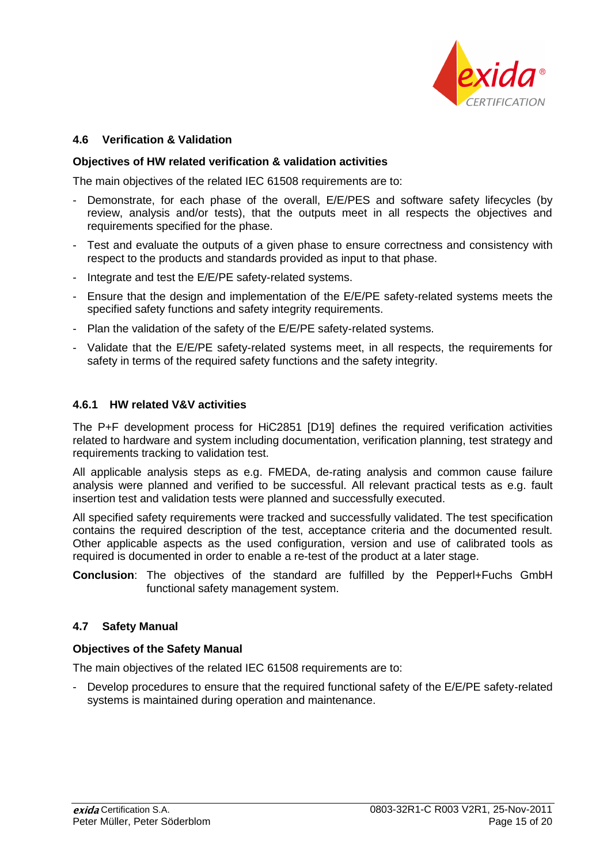

## **4.6 Verification & Validation**

#### **Objectives of HW related verification & validation activities**

The main objectives of the related IEC 61508 requirements are to:

- Demonstrate, for each phase of the overall, E/E/PES and software safety lifecycles (by review, analysis and/or tests), that the outputs meet in all respects the objectives and requirements specified for the phase.
- Test and evaluate the outputs of a given phase to ensure correctness and consistency with respect to the products and standards provided as input to that phase.
- Integrate and test the E/E/PE safety-related systems.
- Ensure that the design and implementation of the E/E/PE safety-related systems meets the specified safety functions and safety integrity requirements.
- Plan the validation of the safety of the E/E/PE safety-related systems.
- Validate that the E/E/PE safety-related systems meet, in all respects, the requirements for safety in terms of the required safety functions and the safety integrity.

#### **4.6.1 HW related V&V activities**

The P+F development process for HiC2851 [D19] defines the required verification activities related to hardware and system including documentation, verification planning, test strategy and requirements tracking to validation test.

All applicable analysis steps as e.g. FMEDA, de-rating analysis and common cause failure analysis were planned and verified to be successful. All relevant practical tests as e.g. fault insertion test and validation tests were planned and successfully executed.

All specified safety requirements were tracked and successfully validated. The test specification contains the required description of the test, acceptance criteria and the documented result. Other applicable aspects as the used configuration, version and use of calibrated tools as required is documented in order to enable a re-test of the product at a later stage.

**Conclusion**: The objectives of the standard are fulfilled by the Pepperl+Fuchs GmbH functional safety management system.

## **4.7 Safety Manual**

#### **Objectives of the Safety Manual**

The main objectives of the related IEC 61508 requirements are to:

Develop procedures to ensure that the required functional safety of the E/E/PE safety-related systems is maintained during operation and maintenance.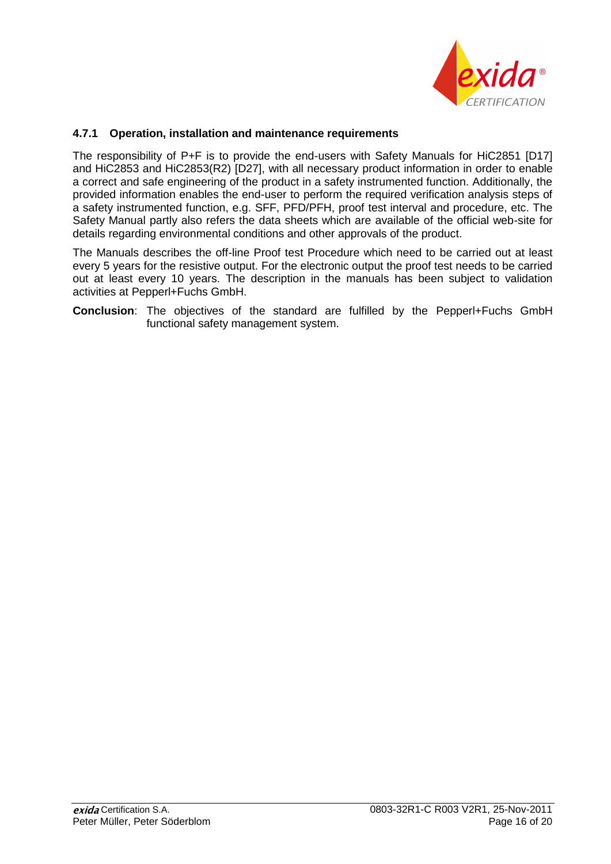

## **4.7.1 Operation, installation and maintenance requirements**

The responsibility of P+F is to provide the end-users with Safety Manuals for HiC2851 [D17] and HiC2853 and HiC2853(R2) [D27], with all necessary product information in order to enable a correct and safe engineering of the product in a safety instrumented function. Additionally, the provided information enables the end-user to perform the required verification analysis steps of a safety instrumented function, e.g. SFF, PFD/PFH, proof test interval and procedure, etc. The Safety Manual partly also refers the data sheets which are available of the official web-site for details regarding environmental conditions and other approvals of the product.

The Manuals describes the off-line Proof test Procedure which need to be carried out at least every 5 years for the resistive output. For the electronic output the proof test needs to be carried out at least every 10 years. The description in the manuals has been subject to validation activities at Pepperl+Fuchs GmbH.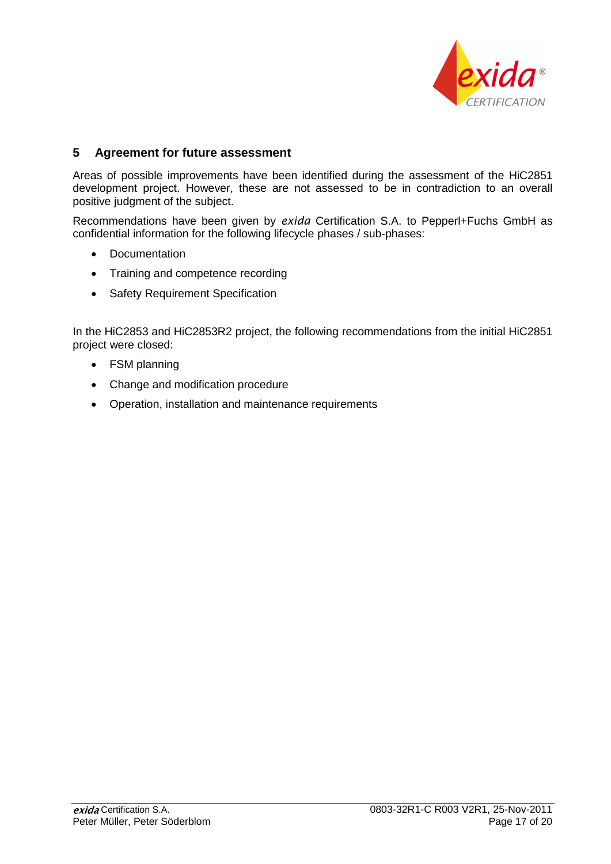

# **5 Agreement for future assessment**

Areas of possible improvements have been identified during the assessment of the HiC2851 development project. However, these are not assessed to be in contradiction to an overall positive judgment of the subject.

Recommendations have been given by *exida* Certification S.A. to Pepperl+Fuchs GmbH as confidential information for the following lifecycle phases / sub-phases:

- Documentation
- Training and competence recording
- Safety Requirement Specification

In the HiC2853 and HiC2853R2 project, the following recommendations from the initial HiC2851 project were closed:

- FSM planning
- Change and modification procedure
- Operation, installation and maintenance requirements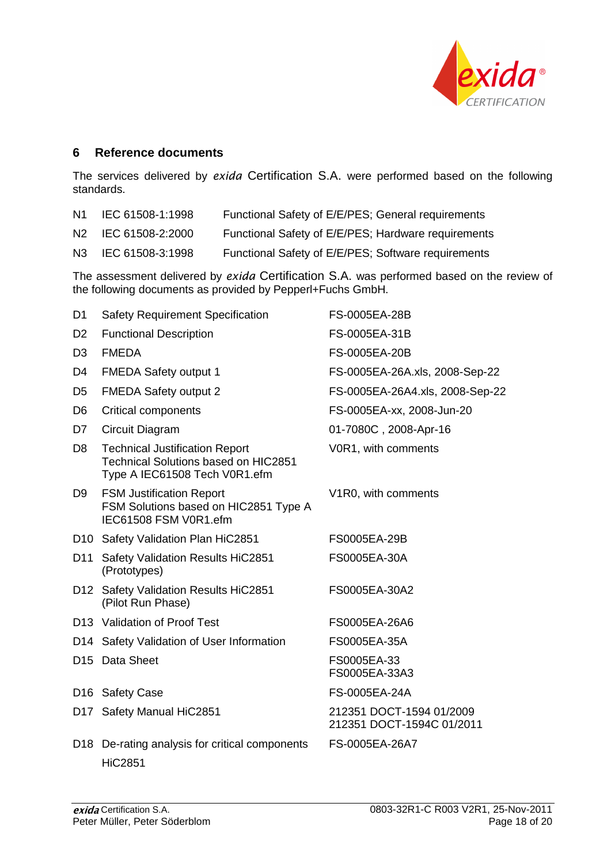

# **6 Reference documents**

The services delivered by *exida* Certification S.A. were performed based on the following standards.

| N1.            | IEC 61508-1:1998 | Functional Safety of E/E/PES; General requirements  |
|----------------|------------------|-----------------------------------------------------|
| N2             | IEC 61508-2:2000 | Functional Safety of E/E/PES; Hardware requirements |
| N <sub>3</sub> | IEC 61508-3:1998 | Functional Safety of E/E/PES; Software requirements |

The assessment delivered by *exida* Certification S.A. was performed based on the review of the following documents as provided by Pepperl+Fuchs GmbH.

| D <sub>1</sub>  | <b>Safety Requirement Specification</b>                                                                               | FS-0005EA-28B                                         |
|-----------------|-----------------------------------------------------------------------------------------------------------------------|-------------------------------------------------------|
| D <sub>2</sub>  | <b>Functional Description</b>                                                                                         | FS-0005EA-31B                                         |
| D <sub>3</sub>  | <b>FMEDA</b>                                                                                                          | FS-0005EA-20B                                         |
| D4              | <b>FMEDA Safety output 1</b>                                                                                          | FS-0005EA-26A.xls, 2008-Sep-22                        |
| D <sub>5</sub>  | <b>FMEDA Safety output 2</b>                                                                                          | FS-0005EA-26A4.xls, 2008-Sep-22                       |
| D <sub>6</sub>  | Critical components                                                                                                   | FS-0005EA-xx, 2008-Jun-20                             |
| D7              | Circuit Diagram                                                                                                       | 01-7080C, 2008-Apr-16                                 |
| D <sub>8</sub>  | <b>Technical Justification Report</b><br><b>Technical Solutions based on HIC2851</b><br>Type A IEC61508 Tech V0R1.efm | V0R1, with comments                                   |
| D <sub>9</sub>  | <b>FSM Justification Report</b><br>FSM Solutions based on HIC2851 Type A<br>IEC61508 FSM V0R1.efm                     | V <sub>1</sub> R <sub>0</sub> , with comments         |
|                 | D10 Safety Validation Plan HiC2851                                                                                    | FS0005EA-29B                                          |
|                 | D11 Safety Validation Results HiC2851<br>(Prototypes)                                                                 | FS0005EA-30A                                          |
|                 | D12 Safety Validation Results HiC2851<br>(Pilot Run Phase)                                                            | FS0005EA-30A2                                         |
|                 | D13 Validation of Proof Test                                                                                          | FS0005EA-26A6                                         |
|                 | D14 Safety Validation of User Information                                                                             | FS0005EA-35A                                          |
|                 | D15 Data Sheet                                                                                                        | FS0005EA-33<br>FS0005EA-33A3                          |
|                 | D <sub>16</sub> Safety Case                                                                                           | FS-0005EA-24A                                         |
|                 | D17 Safety Manual HiC2851                                                                                             | 212351 DOCT-1594 01/2009<br>212351 DOCT-1594C 01/2011 |
| D <sub>18</sub> | De-rating analysis for critical components<br><b>HiC2851</b>                                                          | FS-0005EA-26A7                                        |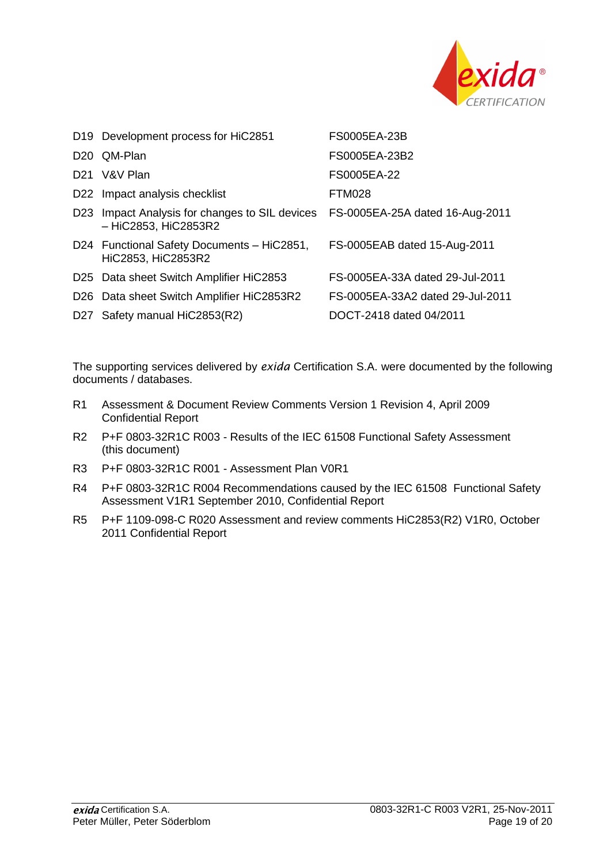

|                 | D19 Development process for HiC2851                                                                | FS0005EA-23B                     |
|-----------------|----------------------------------------------------------------------------------------------------|----------------------------------|
|                 | D <sub>20</sub> QM-Plan                                                                            | FS0005EA-23B2                    |
|                 | D <sub>21</sub> V&V Plan                                                                           | FS0005EA-22                      |
|                 | D22 Impact analysis checklist                                                                      | FTM028                           |
| D <sub>23</sub> | Impact Analysis for changes to SIL devices FS-0005EA-25A dated 16-Aug-2011<br>- HiC2853, HiC2853R2 |                                  |
|                 | D24 Functional Safety Documents - HiC2851,<br>HiC2853, HiC2853R2                                   | FS-0005EAB dated 15-Aug-2011     |
|                 | D25 Data sheet Switch Amplifier HiC2853                                                            | FS-0005EA-33A dated 29-Jul-2011  |
|                 | D26 Data sheet Switch Amplifier HiC2853R2                                                          | FS-0005EA-33A2 dated 29-Jul-2011 |
|                 | D27 Safety manual HiC2853(R2)                                                                      | DOCT-2418 dated 04/2011          |

The supporting services delivered by *exida* Certification S.A. were documented by the following documents / databases.

- R1 Assessment & Document Review Comments Version 1 Revision 4, April 2009 Confidential Report
- R2 P+F 0803-32R1C R003 Results of the IEC 61508 Functional Safety Assessment (this document)
- R3 P+F 0803-32R1C R001 Assessment Plan V0R1
- R4 P+F 0803-32R1C R004 Recommendations caused by the IEC 61508 Functional Safety Assessment V1R1 September 2010, Confidential Report
- R5 P+F 1109-098-C R020 Assessment and review comments HiC2853(R2) V1R0, October 2011 Confidential Report